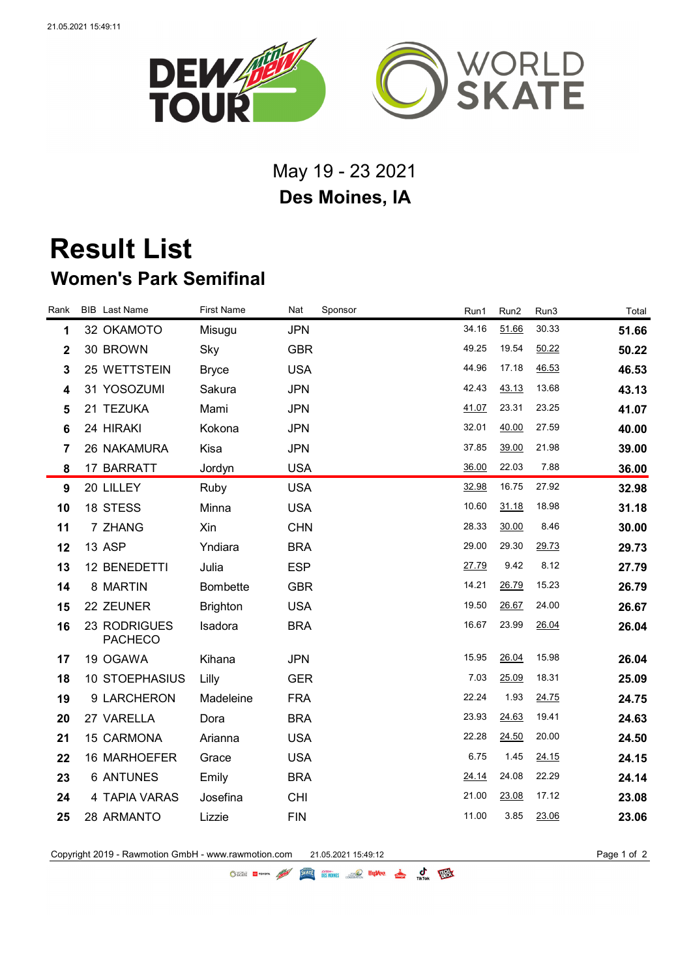

## May 19 - 23 2021 **Des Moines, IA**

## **Result List Women's Park Semifinal**

| Rank                    | <b>BIB</b> Last Name           | <b>First Name</b> | Nat        | Sponsor | Run1  | Run2  | Run3  | Total |
|-------------------------|--------------------------------|-------------------|------------|---------|-------|-------|-------|-------|
| 1                       | 32 OKAMOTO                     | Misugu            | <b>JPN</b> |         | 34.16 | 51.66 | 30.33 | 51.66 |
| $\mathbf 2$             | 30 BROWN                       | Sky               | <b>GBR</b> |         | 49.25 | 19.54 | 50.22 | 50.22 |
| $\mathbf{3}$            | 25 WETTSTEIN                   | <b>Bryce</b>      | <b>USA</b> |         | 44.96 | 17.18 | 46.53 | 46.53 |
| $\overline{\mathbf{4}}$ | 31 YOSOZUMI                    | Sakura            | <b>JPN</b> |         | 42.43 | 43.13 | 13.68 | 43.13 |
| 5                       | 21 TEZUKA                      | Mami              | <b>JPN</b> |         | 41.07 | 23.31 | 23.25 | 41.07 |
| 6                       | 24 HIRAKI                      | Kokona            | <b>JPN</b> |         | 32.01 | 40.00 | 27.59 | 40.00 |
| $\overline{7}$          | 26 NAKAMURA                    | Kisa              | <b>JPN</b> |         | 37.85 | 39.00 | 21.98 | 39.00 |
| 8                       | 17 BARRATT                     | Jordyn            | <b>USA</b> |         | 36.00 | 22.03 | 7.88  | 36.00 |
| 9                       | 20 LILLEY                      | Ruby              | <b>USA</b> |         | 32.98 | 16.75 | 27.92 | 32.98 |
| 10                      | 18 STESS                       | Minna             | <b>USA</b> |         | 10.60 | 31.18 | 18.98 | 31.18 |
| 11                      | 7 ZHANG                        | Xin               | <b>CHN</b> |         | 28.33 | 30.00 | 8.46  | 30.00 |
| 12                      | 13 ASP                         | Yndiara           | <b>BRA</b> |         | 29.00 | 29.30 | 29.73 | 29.73 |
| 13                      | 12 BENEDETTI                   | Julia             | <b>ESP</b> |         | 27.79 | 9.42  | 8.12  | 27.79 |
| 14                      | 8 MARTIN                       | <b>Bombette</b>   | <b>GBR</b> |         | 14.21 | 26.79 | 15.23 | 26.79 |
| 15                      | 22 ZEUNER                      | <b>Brighton</b>   | <b>USA</b> |         | 19.50 | 26.67 | 24.00 | 26.67 |
| 16                      | 23 RODRIGUES<br><b>PACHECO</b> | Isadora           | <b>BRA</b> |         | 16.67 | 23.99 | 26.04 | 26.04 |
| 17                      | 19 OGAWA                       | Kihana            | <b>JPN</b> |         | 15.95 | 26.04 | 15.98 | 26.04 |
| 18                      | 10 STOEPHASIUS                 | Lilly             | <b>GER</b> |         | 7.03  | 25.09 | 18.31 | 25.09 |
| 19                      | 9 LARCHERON                    | Madeleine         | <b>FRA</b> |         | 22.24 | 1.93  | 24.75 | 24.75 |
| 20                      | 27 VARELLA                     | Dora              | <b>BRA</b> |         | 23.93 | 24.63 | 19.41 | 24.63 |
| 21                      | 15 CARMONA                     | Arianna           | <b>USA</b> |         | 22.28 | 24.50 | 20.00 | 24.50 |
| 22                      | 16 MARHOEFER                   | Grace             | <b>USA</b> |         | 6.75  | 1.45  | 24.15 | 24.15 |
| 23                      | <b>6 ANTUNES</b>               | Emily             | <b>BRA</b> |         | 24.14 | 24.08 | 22.29 | 24.14 |
| 24                      | 4 TAPIA VARAS                  | Josefina          | <b>CHI</b> |         | 21.00 | 23.08 | 17.12 | 23.08 |
| 25                      | 28 ARMANTO                     | Lizzie            | <b>FIN</b> |         | 11.00 | 3.85  | 23.06 | 23.06 |
|                         |                                |                   |            |         |       |       |       |       |

Copyright 2019 - Rawmotion GmbH - www.rawmotion.com 21.05.2021 15:49:12 Page 1 of 2

OSCRE EL TOYOTA AND DESIGNERS OF DUVOU & C TEX